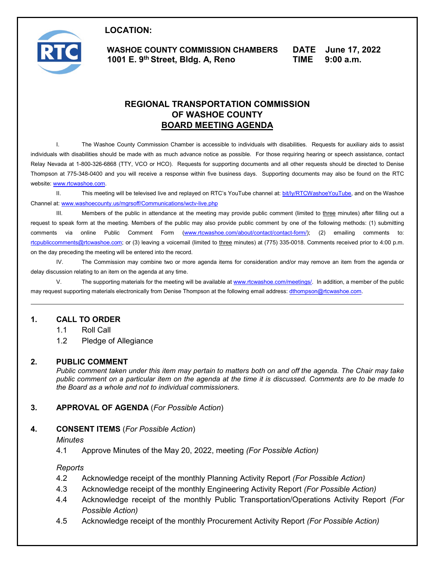

1001 E. 9<sup>th</sup> Street, Bldg. A, Reno **LOCATION: WASHOE COUNTY COMMISSION CHAMBERS 1001 E. 9th Street, Bldg. A, Reno** 

**DATE TIME June 17, 2022 9:00 a.m.** 

# **REGIONAL TRANSPORTATION COMMISSION OF WASHOE COUNTY BOARD MEETING AGENDA**

 I. The Washoe County Commission Chamber is accessible to individuals with disabilities. Requests for auxiliary aids to assist individuals with disabilities should be made with as much advance notice as possible. For those requiring hearing or speech assistance, contact Thompson at 775-348-0400 and you will receive a response within five business days. Supporting documents may also be found on the RTC Relay Nevada at 1-800-326-6868 (TTY, VCO or HCO). Requests for supporting documents and all other requests should be directed to Denise website: [www.rtcwashoe.com.](http://www.rtcwashoe.com/)

II. This meeting will be televised live and replayed on RTC's YouTube channel at: <u>bit/ly/RTCWashoeYouTube</u>, and on the Washoe Channel at[: www.washoecounty.us/mgrsoff/Communications/wctv-live.php](http://www.washoecounty.us/mgrsoff/Communications/wctv-live.php) 

III. Members of the public in attendance at the meeting may provide public comment (limited to <u>three</u> minutes) after filling out a request to speak form at the meeting. Members of the public may also provide public comment by one of the following methods: (1) submitting comments via online Public Comment Form (<u>www.rtcwashoe.com/about/contact/contact-form/);</u> (2) emailing comments to: on the day preceding the meeting will be entered into the record. [rtcpubliccomments@rtcwashoe.com;](mailto:rtcpubliccomments@rtcwashoe.com) or (3) leaving a voicemail (limited to three minutes) at (775) 335-0018. Comments received prior to 4:00 p.m.

IV. The Commission may combine two or more agenda items for consideration and/or may remove an item from the agenda or delay discussion relating to an item on the agenda at any time.

V. The supporting materials for the meeting will be available at <u>www.rtcwashoe.com/meetings/</u>. In addition, a member of the public may request supporting materials electronically from Denise Thompson at the following email address: <u>dthompson@rtcwashoe.com</u>.

## **1. CALL TO ORDER**

- 1.1 Roll Call
- 1.2 Pledge of Allegiance

#### **2. PUBLIC COMMENT**

 *public comment on a particular item on the agenda at the time it is discussed. Comments are to be made to Public comment taken under this item may pertain to matters both on and off the agenda. The Chair may take the Board as a whole and not to individual commissioners.* 

## **3. APPROVAL OF AGENDA** (*For Possible Action*)

## **4. CONSENT ITEMS** (*For Possible Action*)

*Minutes* 

4.1 Approve Minutes of the May 20, 2022, meeting *(For Possible Action)* 

*Reports* 

- 4.2 Acknowledge receipt of the monthly Planning Activity Report *(For Possible Action)*
- 4.3 Acknowledge receipt of the monthly Engineering Activity Report *(For Possible Action)*
- 4.4 Acknowledge receipt of the monthly Public Transportation/Operations Activity Report *(For Possible Action)*
- 4.5 Acknowledge receipt of the monthly Procurement Activity Report *(For Possible Action)*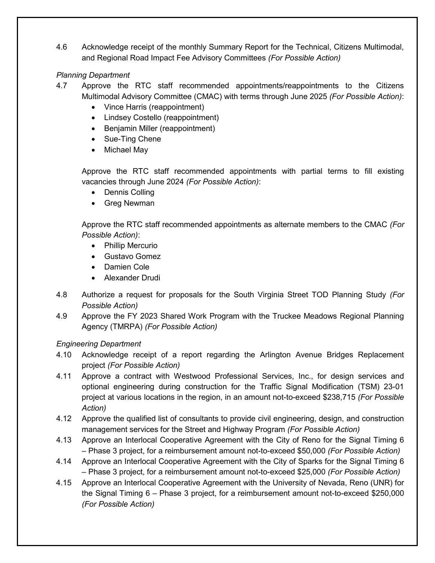4.6 Acknowledge receipt of the monthly Summary Report for the Technical, Citizens Multimodal, and Regional Road Impact Fee Advisory Committees *(For Possible Action)* 

# *Planning Department*

- 4.7 Approve the RTC staff recommended appointments/reappointments to the Citizens Multimodal Advisory Committee (CMAC) with terms through June 2025 *(For Possible Action)*:
	- Vince Harris (reappointment)
	- Lindsey Costello (reappointment)
	- Benjamin Miller (reappointment)
	- Sue-Ting Chene
	- Michael May

 Approve the RTC staff recommended appointments with partial terms to fill existing vacancies through June 2024 *(For Possible Action)*:

- Dennis Colling
- Greg Newman

 Approve the RTC staff recommended appointments as alternate members to the CMAC *(For Possible Action)*:

- Phillip Mercurio
- Gustavo Gomez
- Damien Cole
- Alexander Drudi
- 4.8 Authorize a request for proposals for the South Virginia Street TOD Planning Study *(For Possible Action)*
- 4.9 Approve the FY 2023 Shared Work Program with the Truckee Meadows Regional Planning Agency (TMRPA) *(For Possible Action)*

# *Engineering Department*

- 4.10 Acknowledge receipt of a report regarding the Arlington Avenue Bridges Replacement project *(For Possible Action)*
- 4.11 Approve a contract with Westwood Professional Services, Inc., for design services and optional engineering during construction for the Traffic Signal Modification (TSM) 23-01 project at various locations in the region, in an amount not-to-exceed \$238,715 *(For Possible Action)*
- management services for the Street and Highway Program *(For Possible Action)*  4.12 Approve the qualified list of consultants to provide civil engineering, design, and construction
- 4.13 Approve an Interlocal Cooperative Agreement with the City of Reno for the Signal Timing 6 – Phase 3 project, for a reimbursement amount not-to-exceed \$50,000 *(For Possible Action)*
- 4.14 Approve an Interlocal Cooperative Agreement with the City of Sparks for the Signal Timing 6 – Phase 3 project, for a reimbursement amount not-to-exceed \$25,000 *(For Possible Action)*
- 4.15 Approve an Interlocal Cooperative Agreement with the University of Nevada, Reno (UNR) for the Signal Timing 6 – Phase 3 project, for a reimbursement amount not-to-exceed \$250,000 *(For Possible Action)*